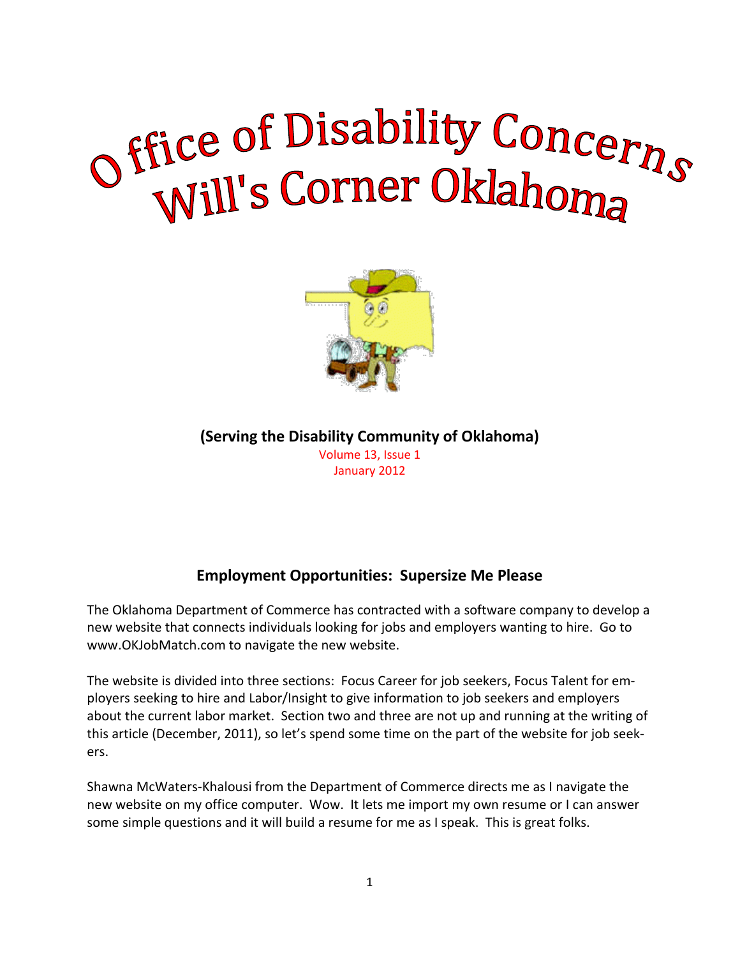# of Eice of Disability Concerns



**(Serving the Disability Community of Oklahoma)**

Volume 13, Issue 1 January 2012

# **Employment Opportunities: Supersize Me Please**

The Oklahoma Department of Commerce has contracted with a software company to develop a new website that connects individuals looking for jobs and employers wanting to hire. Go to www.OKJobMatch.com to navigate the new website.

The website is divided into three sections: Focus Career for job seekers, Focus Talent for employers seeking to hire and Labor/Insight to give information to job seekers and employers about the current labor market. Section two and three are not up and running at the writing of this article (December, 2011), so let's spend some time on the part of the website for job seekers.

Shawna McWaters-Khalousi from the Department of Commerce directs me as I navigate the new website on my office computer. Wow. It lets me import my own resume or I can answer some simple questions and it will build a resume for me as I speak. This is great folks.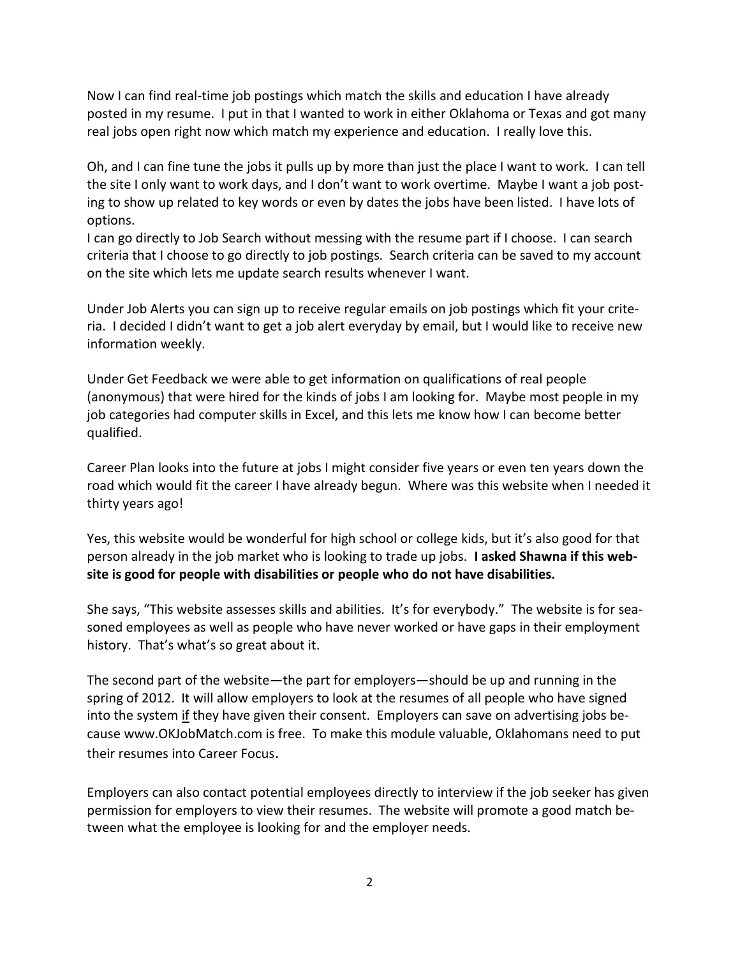Now I can find real-time job postings which match the skills and education I have already posted in my resume. I put in that I wanted to work in either Oklahoma or Texas and got many real jobs open right now which match my experience and education. I really love this.

Oh, and I can fine tune the jobs it pulls up by more than just the place I want to work. I can tell the site I only want to work days, and I don't want to work overtime. Maybe I want a job posting to show up related to key words or even by dates the jobs have been listed. I have lots of options.

I can go directly to Job Search without messing with the resume part if I choose. I can search criteria that I choose to go directly to job postings. Search criteria can be saved to my account on the site which lets me update search results whenever I want.

Under Job Alerts you can sign up to receive regular emails on job postings which fit your criteria. I decided I didn't want to get a job alert everyday by email, but I would like to receive new information weekly.

Under Get Feedback we were able to get information on qualifications of real people (anonymous) that were hired for the kinds of jobs I am looking for. Maybe most people in my job categories had computer skills in Excel, and this lets me know how I can become better qualified.

Career Plan looks into the future at jobs I might consider five years or even ten years down the road which would fit the career I have already begun. Where was this website when I needed it thirty years ago!

Yes, this website would be wonderful for high school or college kids, but it's also good for that person already in the job market who is looking to trade up jobs. **I asked Shawna if this website is good for people with disabilities or people who do not have disabilities.**

She says, "This website assesses skills and abilities. It's for everybody." The website is for seasoned employees as well as people who have never worked or have gaps in their employment history. That's what's so great about it.

The second part of the website—the part for employers—should be up and running in the spring of 2012. It will allow employers to look at the resumes of all people who have signed into the system if they have given their consent. Employers can save on advertising jobs because www.OKJobMatch.com is free. To make this module valuable, Oklahomans need to put their resumes into Career Focus.

Employers can also contact potential employees directly to interview if the job seeker has given permission for employers to view their resumes. The website will promote a good match between what the employee is looking for and the employer needs.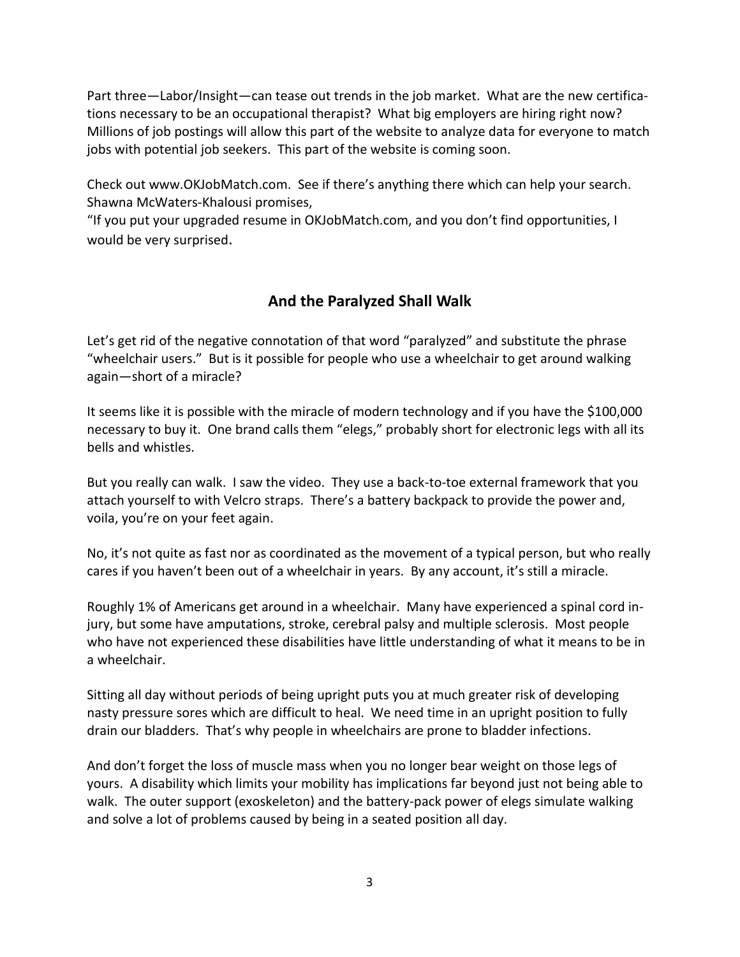Part three—Labor/Insight—can tease out trends in the job market. What are the new certifications necessary to be an occupational therapist? What big employers are hiring right now? Millions of job postings will allow this part of the website to analyze data for everyone to match jobs with potential job seekers. This part of the website is coming soon.

Check out www.OKJobMatch.com. See if there's anything there which can help your search. Shawna McWaters-Khalousi promises,

"If you put your upgraded resume in OKJobMatch.com, and you don't find opportunities, I would be very surprised.

# **And the Paralyzed Shall Walk**

Let's get rid of the negative connotation of that word "paralyzed" and substitute the phrase "wheelchair users." But is it possible for people who use a wheelchair to get around walking again—short of a miracle?

It seems like it is possible with the miracle of modern technology and if you have the \$100,000 necessary to buy it. One brand calls them "elegs," probably short for electronic legs with all its bells and whistles.

But you really can walk. I saw the video. They use a back-to-toe external framework that you attach yourself to with Velcro straps. There's a battery backpack to provide the power and, voila, you're on your feet again.

No, it's not quite as fast nor as coordinated as the movement of a typical person, but who really cares if you haven't been out of a wheelchair in years. By any account, it's still a miracle.

Roughly 1% of Americans get around in a wheelchair. Many have experienced a spinal cord injury, but some have amputations, stroke, cerebral palsy and multiple sclerosis. Most people who have not experienced these disabilities have little understanding of what it means to be in a wheelchair.

Sitting all day without periods of being upright puts you at much greater risk of developing nasty pressure sores which are difficult to heal. We need time in an upright position to fully drain our bladders. That's why people in wheelchairs are prone to bladder infections.

And don't forget the loss of muscle mass when you no longer bear weight on those legs of yours. A disability which limits your mobility has implications far beyond just not being able to walk. The outer support (exoskeleton) and the battery-pack power of elegs simulate walking and solve a lot of problems caused by being in a seated position all day.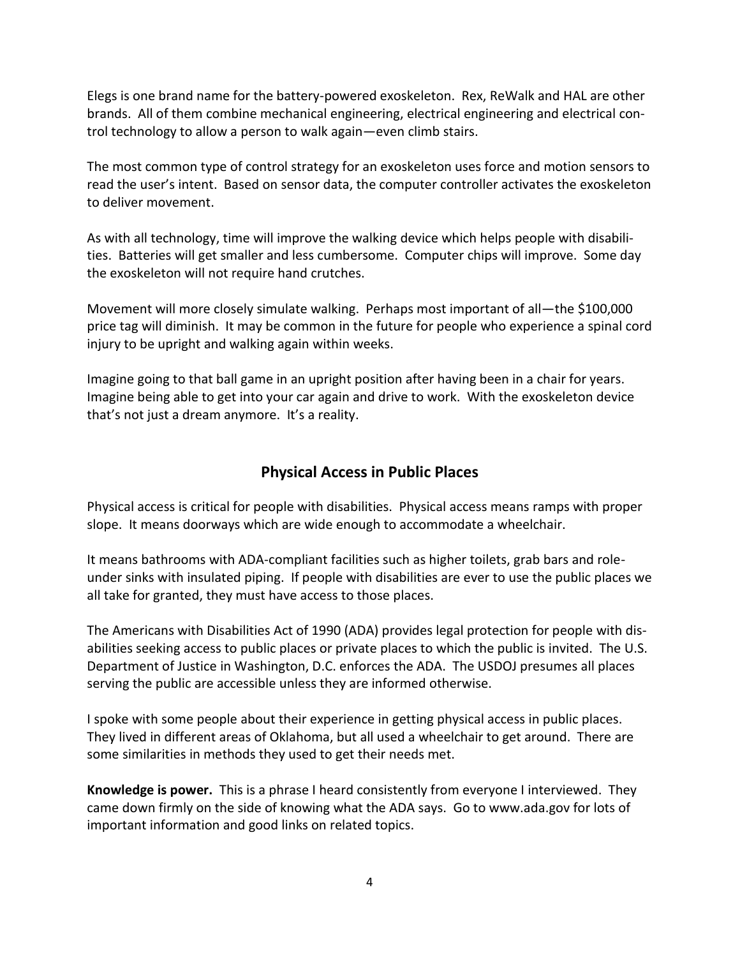Elegs is one brand name for the battery-powered exoskeleton. Rex, ReWalk and HAL are other brands. All of them combine mechanical engineering, electrical engineering and electrical control technology to allow a person to walk again—even climb stairs.

The most common type of control strategy for an exoskeleton uses force and motion sensors to read the user's intent. Based on sensor data, the computer controller activates the exoskeleton to deliver movement.

As with all technology, time will improve the walking device which helps people with disabilities. Batteries will get smaller and less cumbersome. Computer chips will improve. Some day the exoskeleton will not require hand crutches.

Movement will more closely simulate walking. Perhaps most important of all—the \$100,000 price tag will diminish. It may be common in the future for people who experience a spinal cord injury to be upright and walking again within weeks.

Imagine going to that ball game in an upright position after having been in a chair for years. Imagine being able to get into your car again and drive to work. With the exoskeleton device that's not just a dream anymore. It's a reality.

## **Physical Access in Public Places**

Physical access is critical for people with disabilities. Physical access means ramps with proper slope. It means doorways which are wide enough to accommodate a wheelchair.

It means bathrooms with ADA-compliant facilities such as higher toilets, grab bars and roleunder sinks with insulated piping. If people with disabilities are ever to use the public places we all take for granted, they must have access to those places.

The Americans with Disabilities Act of 1990 (ADA) provides legal protection for people with disabilities seeking access to public places or private places to which the public is invited. The U.S. Department of Justice in Washington, D.C. enforces the ADA. The USDOJ presumes all places serving the public are accessible unless they are informed otherwise.

I spoke with some people about their experience in getting physical access in public places. They lived in different areas of Oklahoma, but all used a wheelchair to get around. There are some similarities in methods they used to get their needs met.

**Knowledge is power.** This is a phrase I heard consistently from everyone I interviewed. They came down firmly on the side of knowing what the ADA says. Go to www.ada.gov for lots of important information and good links on related topics.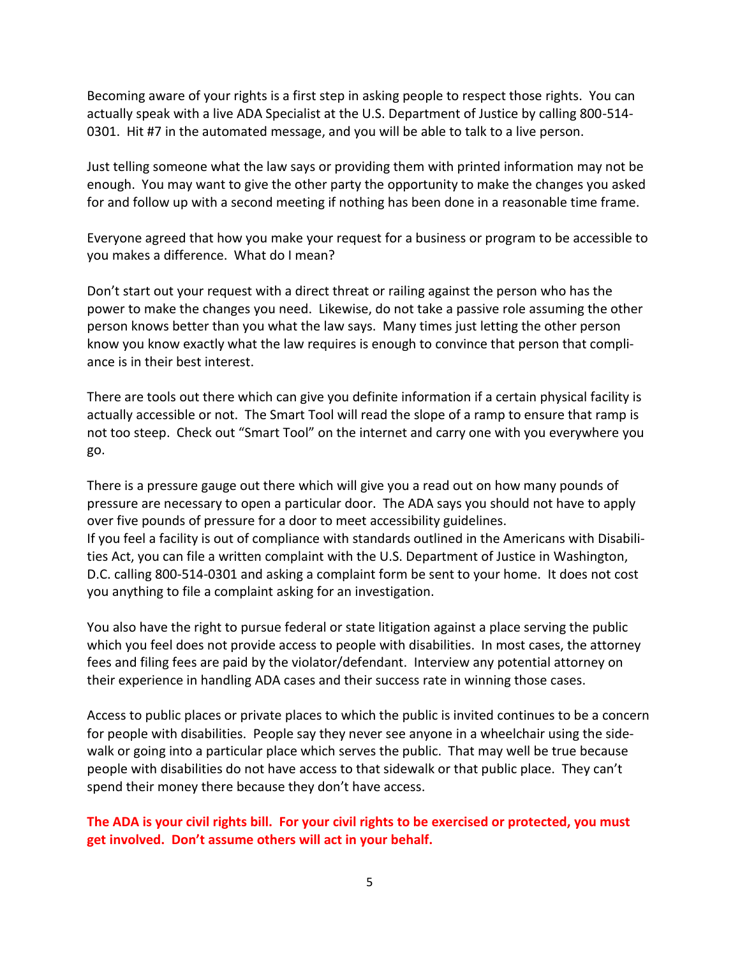Becoming aware of your rights is a first step in asking people to respect those rights. You can actually speak with a live ADA Specialist at the U.S. Department of Justice by calling 800-514- 0301. Hit #7 in the automated message, and you will be able to talk to a live person.

Just telling someone what the law says or providing them with printed information may not be enough. You may want to give the other party the opportunity to make the changes you asked for and follow up with a second meeting if nothing has been done in a reasonable time frame.

Everyone agreed that how you make your request for a business or program to be accessible to you makes a difference. What do I mean?

Don't start out your request with a direct threat or railing against the person who has the power to make the changes you need. Likewise, do not take a passive role assuming the other person knows better than you what the law says. Many times just letting the other person know you know exactly what the law requires is enough to convince that person that compliance is in their best interest.

There are tools out there which can give you definite information if a certain physical facility is actually accessible or not. The Smart Tool will read the slope of a ramp to ensure that ramp is not too steep. Check out "Smart Tool" on the internet and carry one with you everywhere you go.

There is a pressure gauge out there which will give you a read out on how many pounds of pressure are necessary to open a particular door. The ADA says you should not have to apply over five pounds of pressure for a door to meet accessibility guidelines. If you feel a facility is out of compliance with standards outlined in the Americans with Disabilities Act, you can file a written complaint with the U.S. Department of Justice in Washington, D.C. calling 800-514-0301 and asking a complaint form be sent to your home. It does not cost you anything to file a complaint asking for an investigation.

You also have the right to pursue federal or state litigation against a place serving the public which you feel does not provide access to people with disabilities. In most cases, the attorney fees and filing fees are paid by the violator/defendant. Interview any potential attorney on their experience in handling ADA cases and their success rate in winning those cases.

Access to public places or private places to which the public is invited continues to be a concern for people with disabilities. People say they never see anyone in a wheelchair using the sidewalk or going into a particular place which serves the public. That may well be true because people with disabilities do not have access to that sidewalk or that public place. They can't spend their money there because they don't have access.

**The ADA is your civil rights bill. For your civil rights to be exercised or protected, you must get involved. Don't assume others will act in your behalf.**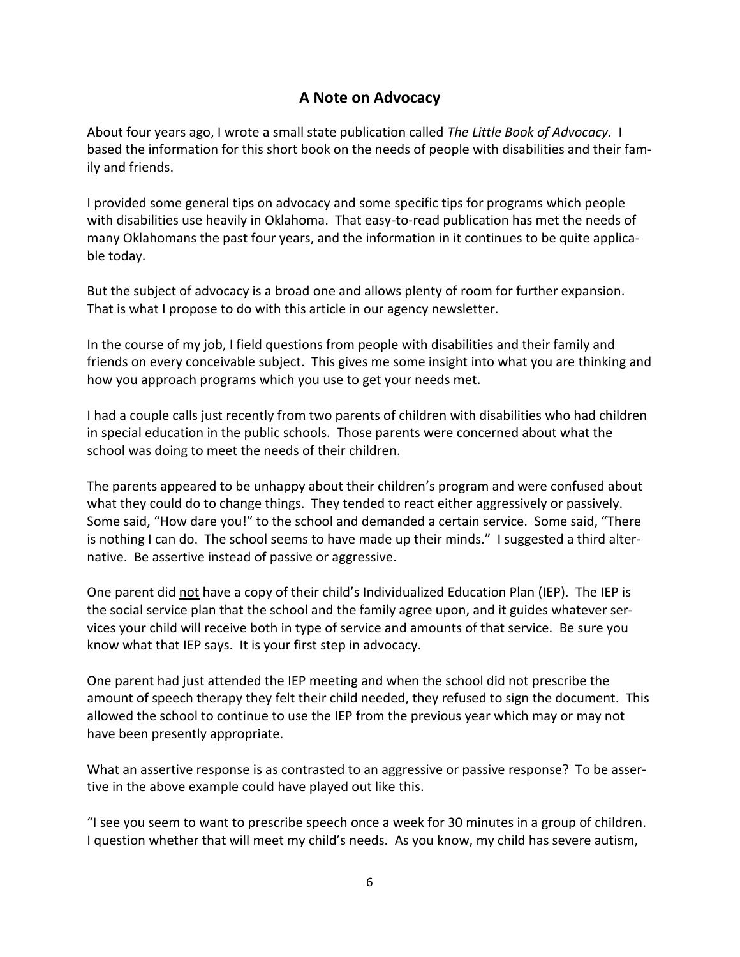# **A Note on Advocacy**

About four years ago, I wrote a small state publication called *The Little Book of Advocacy.* I based the information for this short book on the needs of people with disabilities and their family and friends.

I provided some general tips on advocacy and some specific tips for programs which people with disabilities use heavily in Oklahoma. That easy-to-read publication has met the needs of many Oklahomans the past four years, and the information in it continues to be quite applicable today.

But the subject of advocacy is a broad one and allows plenty of room for further expansion. That is what I propose to do with this article in our agency newsletter.

In the course of my job, I field questions from people with disabilities and their family and friends on every conceivable subject. This gives me some insight into what you are thinking and how you approach programs which you use to get your needs met.

I had a couple calls just recently from two parents of children with disabilities who had children in special education in the public schools. Those parents were concerned about what the school was doing to meet the needs of their children.

The parents appeared to be unhappy about their children's program and were confused about what they could do to change things. They tended to react either aggressively or passively. Some said, "How dare you!" to the school and demanded a certain service. Some said, "There is nothing I can do. The school seems to have made up their minds." I suggested a third alternative. Be assertive instead of passive or aggressive.

One parent did not have a copy of their child's Individualized Education Plan (IEP). The IEP is the social service plan that the school and the family agree upon, and it guides whatever services your child will receive both in type of service and amounts of that service. Be sure you know what that IEP says. It is your first step in advocacy.

One parent had just attended the IEP meeting and when the school did not prescribe the amount of speech therapy they felt their child needed, they refused to sign the document. This allowed the school to continue to use the IEP from the previous year which may or may not have been presently appropriate.

What an assertive response is as contrasted to an aggressive or passive response? To be assertive in the above example could have played out like this.

"I see you seem to want to prescribe speech once a week for 30 minutes in a group of children. I question whether that will meet my child's needs. As you know, my child has severe autism,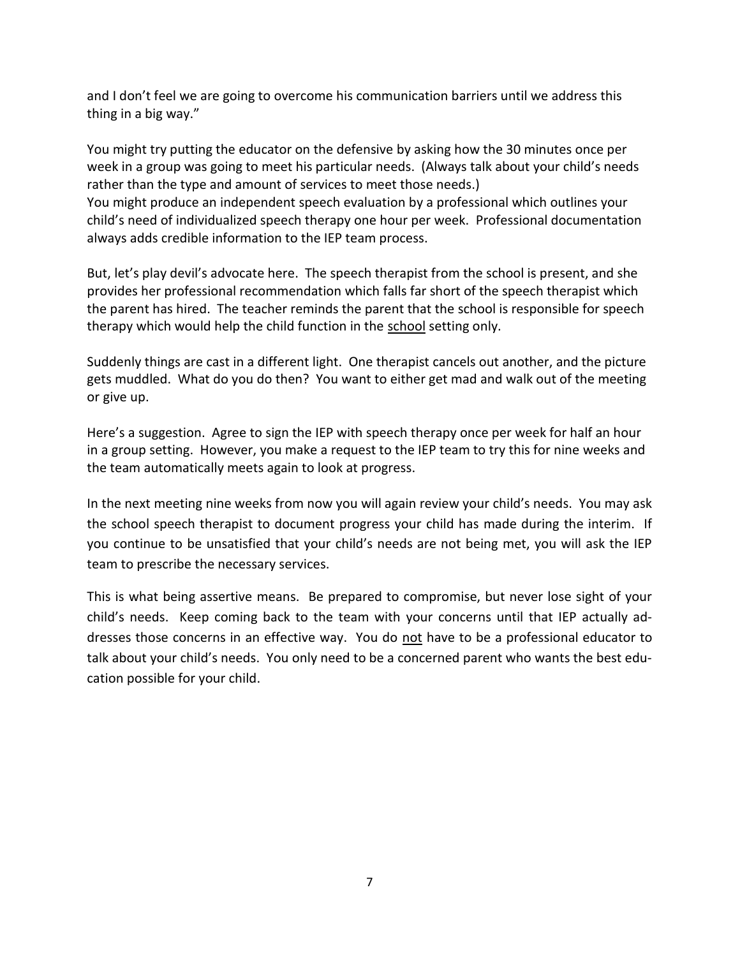and I don't feel we are going to overcome his communication barriers until we address this thing in a big way."

You might try putting the educator on the defensive by asking how the 30 minutes once per week in a group was going to meet his particular needs. (Always talk about your child's needs rather than the type and amount of services to meet those needs.) You might produce an independent speech evaluation by a professional which outlines your child's need of individualized speech therapy one hour per week. Professional documentation always adds credible information to the IEP team process.

But, let's play devil's advocate here. The speech therapist from the school is present, and she provides her professional recommendation which falls far short of the speech therapist which the parent has hired. The teacher reminds the parent that the school is responsible for speech therapy which would help the child function in the school setting only.

Suddenly things are cast in a different light. One therapist cancels out another, and the picture gets muddled. What do you do then? You want to either get mad and walk out of the meeting or give up.

Here's a suggestion. Agree to sign the IEP with speech therapy once per week for half an hour in a group setting. However, you make a request to the IEP team to try this for nine weeks and the team automatically meets again to look at progress.

In the next meeting nine weeks from now you will again review your child's needs. You may ask the school speech therapist to document progress your child has made during the interim. If you continue to be unsatisfied that your child's needs are not being met, you will ask the IEP team to prescribe the necessary services.

This is what being assertive means. Be prepared to compromise, but never lose sight of your child's needs. Keep coming back to the team with your concerns until that IEP actually addresses those concerns in an effective way. You do not have to be a professional educator to talk about your child's needs. You only need to be a concerned parent who wants the best education possible for your child.